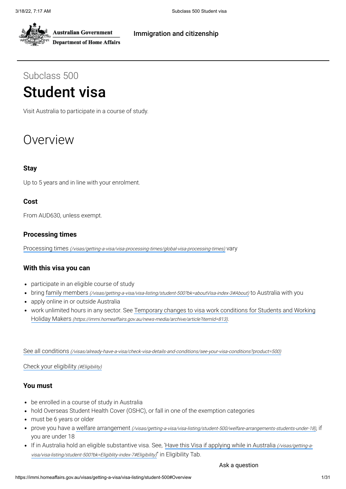

**Australian Government Department of Home Affairs** 

#### [Immigration](https://immi.homeaffairs.gov.au/) and citizenship

# Subclass 500 Student visa

Visit Australia to participate in a course of study.

# Overview

#### **Stay**

Up to 5 years and in line with your enrolment.

#### **Cost**

From AUD630, unless exempt.

#### **Processing times**

Processing times [\(/visas/getting-a-visa/visa-processing-times/global-visa-processing-times\)](https://immi.homeaffairs.gov.au/visas/getting-a-visa/visa-processing-times/global-visa-processing-times) vary

#### **With this visa you can**

- participate in an eligible course of study
- bring family members [\(/visas/getting-a-visa/visa-listing/student-500?bk=aboutVisa-index-3#About\)](https://immi.homeaffairs.gov.au/visas/getting-a-visa/visa-listing/student-500?bk=aboutVisa-index-3#About) to Australia with you
- apply online in or outside Australia
- work unlimited hours in any sector. See Temporary changes to visa work conditions for Students and Working Holiday Makers [\(https://immi.homeaffairs.gov.au/news-media/archive/article?itemId=813\)](https://immi.homeaffairs.gov.au/news-media/archive/article?itemId=813).

See all conditions [\(/visas/already-have-a-visa/check-visa-details-and-conditions/see-your-visa-conditions?product=500\)](https://immi.homeaffairs.gov.au/visas/already-have-a-visa/check-visa-details-and-conditions/see-your-visa-conditions?product=500)

Check your eligibility (#Eligibility)

#### **You must**

- be enrolled in a course of study in Australia
- hold Overseas Student Health Cover (OSHC), or fall in one of the exemption categories
- must be 6 years or older
- prove you have a welfare arrangement [\(/visas/getting-a-visa/visa-listing/student-500/welfare-arrangements-students-under-18\)](https://immi.homeaffairs.gov.au/visas/getting-a-visa/visa-listing/student-500/welfare-arrangements-students-under-18), if you are under 18
- If in Australia hold an eligible substantive visa. See, 'Have this Visa if applying while in Australia (/visas/getting-a[visa/visa-listing/student-500?bk=Eligiblity-index-7#Eligibility\)](https://immi.homeaffairs.gov.au/visas/getting-a-visa/visa-listing/student-500?bk=Eligiblity-index-7#Eligibility)" in Eligibility Tab.

Ask a question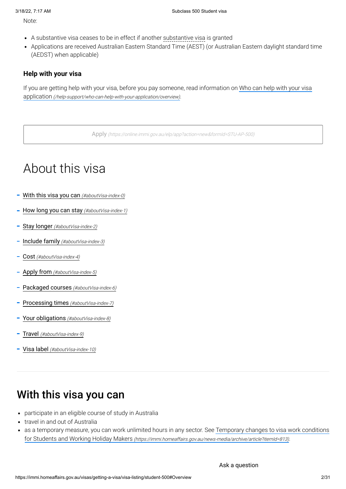Note:

- A substantive visa ceases to be in effect if another substantive visa is granted
- Applications are received Australian Eastern Standard Time (AEST) (or Australian Eastern daylight standard time (AEDST) when applicable)

#### **Help with your visa**

If you are getting help with your visa, before you pay someone, read information on Who can help with your visa application [\(/help-support/who-can-help-with-your-application/overview\)](https://immi.homeaffairs.gov.au/help-support/who-can-help-with-your-application/overview).

Apply [\(https://online.immi.gov.au/elp/app?action=new&formId=STU-AP-500\)](https://online.immi.gov.au/elp/app?action=new&formId=STU-AP-500)

# About this visa

- With this visa you can [\(#aboutVisa-index-0\)](#page-1-0)
- How long you can stay [\(#aboutVisa-index-1\)](#page-2-0)
- Stay longer [\(#aboutVisa-index-2\)](#page-2-1)
- [Include family](#page-2-2) (#aboutVisa-index-3)
- Cost [\(#aboutVisa-index-4\)](#page-2-3)
- Apply from [\(#aboutVisa-index-5\)](#page-3-0)
- [Packaged courses](#page-3-1) (#aboutVisa-index-6)
- Processing times [\(#aboutVisa-index-7\)](#page-3-2)
- Your obligations [\(#aboutVisa-index-8\)](#page-4-0)
- Travel [\(#aboutVisa-index-9\)](#page-5-0)
- Visa label [\(#aboutVisa-index-10\)](#page-5-1)

# <span id="page-1-0"></span>With this visa you can

- participate in an eligible course of study in Australia
- travel in and out of Australia
- as a temporary measure, you can work unlimited hours in any sector. See Temporary changes to visa work conditions  $\bullet$ for Students and Working Holiday Makers [\(https://immi.homeaffairs.gov.au/news-media/archive/article?itemId=813\)](https://immi.homeaffairs.gov.au/news-media/archive/article?itemId=813).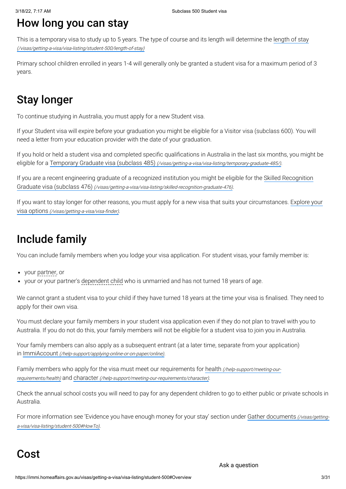# <span id="page-2-0"></span>How long you can stay

This is a temporary visa to study up to 5 years. The type of course and its length will determine the length of stay [\(/visas/getting-a-visa/visa-listing/student-500/length-of-stay\)](https://immi.homeaffairs.gov.au/visas/getting-a-visa/visa-listing/student-500/length-of-stay)

Primary school children enrolled in years 1-4 will generally only be granted a student visa for a maximum period of 3 years.

# <span id="page-2-1"></span>Stay longer

To continue studying in Australia, you must apply for a new Student visa.

If your Student visa will expire before your graduation you might be eligible for a Visitor visa (subclass 600). You will need a letter from your education provider with the date of your graduation.

If you hold or held a student visa and completed specific qualifications in Australia in the last six months, you might be eligible for a Temporary Graduate visa (subclass 485) [\(/visas/getting-a-visa/visa-listing/temporary-graduate-485/\)](https://immi.homeaffairs.gov.au/visas/getting-a-visa/visa-listing/temporary-graduate-485/).

If you are a recent engineering graduate of a recognized institution you might be eligible for the Skilled Recognition Graduate visa (subclass 476) [\(/visas/getting-a-visa/visa-listing/skilled-recognition-graduate-476\)](https://immi.homeaffairs.gov.au/visas/getting-a-visa/visa-listing/skilled-recognition-graduate-476).

If you want to stay longer for other reasons, you must apply for a new visa that suits your circumstances. Explore your visa options [\(/visas/getting-a-visa/visa-finder\)](https://immi.homeaffairs.gov.au/visas/getting-a-visa/visa-finder).

# <span id="page-2-2"></span>Include family

You can include family members when you lodge your visa application. For student visas, your family member is:

- your partner, or
- your or your partner's dependent child who is unmarried and has not turned 18 years of age.

We cannot grant a student visa to your child if they have turned 18 years at the time your visa is finalised. They need to apply for their own visa.

You must declare your family members in your student visa application even if they do not plan to travel with you to Australia. If you do not do this, your family members will not be eligible for a student visa to join you in Australia.

Your family members can also apply as a subsequent entrant (at a later time, separate from your application) in ImmiAccount [\(/help-support/applying-online-or-on-paper/online\)](https://immi.homeaffairs.gov.au/help-support/applying-online-or-on-paper/online).

Family members who apply for the visa must meet our requirements for health (/help-support/meeting-ourrequirements/health) and character [\(/help-support/meeting-our-requirements/character\)](https://immi.homeaffairs.gov.au/help-support/meeting-our-requirements/health).

Check the annual school costs you will need to pay for any dependent children to go to either public or private schools in Australia.

For more information see 'Evidence you have enough money for your stay' section under Gather documents (/visas/gettinga-visa/visa-listing/student-500#HowTo).

## <span id="page-2-3"></span>Cost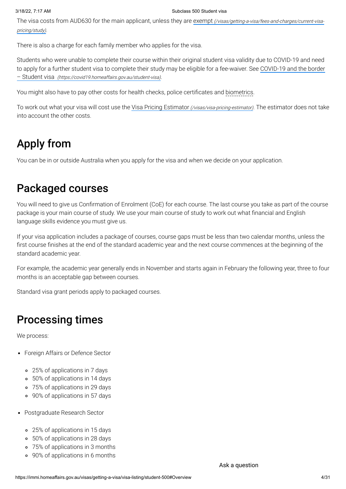The visa costs from AUD630 for the main applicant, unless they are exempt [\(/visas/getting-a-visa/fees-and-charges/current-visa](https://immi.homeaffairs.gov.au/visas/getting-a-visa/fees-and-charges/current-visa-pricing/study)pricing/study).

There is also a charge for each family member who applies for the visa.

Students who were unable to complete their course within their original student visa validity due to COVID-19 and need to apply for a further student visa to complete their study may be eligible for a fee-waiver. See COVID-19 and the border – Student visa [\(https://covid19.homeaffairs.gov.au/student-visa\)](https://covid19.homeaffairs.gov.au/student-visa).

You might also have to pay other costs for health checks, police certificates and biometrics.

To work out what your visa will cost use the Visa Pricing Estimator [\(/visas/visa-pricing-estimator\)](https://immi.homeaffairs.gov.au/visas/visa-pricing-estimator). The estimator does not take into account the other costs.

# <span id="page-3-0"></span>Apply from

You can be in or outside Australia when you apply for the visa and when we decide on your application.

# <span id="page-3-1"></span>Packaged courses

You will need to give us Confirmation of Enrolment (CoE) for each course. The last course you take as part of the course package is your main course of study. We use your main course of study to work out what financial and English language skills evidence you must give us.

If your visa application includes a package of courses, course gaps must be less than two calendar months, unless the first course finishes at the end of the standard academic year and the next course commences at the beginning of the standard academic year.

For example, the academic year generally ends in November and starts again in February the following year, three to four months is an acceptable gap between courses.

Standard visa grant periods apply to packaged courses.

## <span id="page-3-2"></span>Processing times

We process:

- Foreign Affairs or Defence Sector
	- 25% of applications in 7 days
	- 50% of applications in 14 days
	- 75% of applications in 29 days
	- 90% of applications in 57 days
- Postgraduate Research Sector
	- 25% of applications in 15 days
	- 50% of applications in 28 days
	- 75% of applications in 3 months
	- 90% of applications in 6 months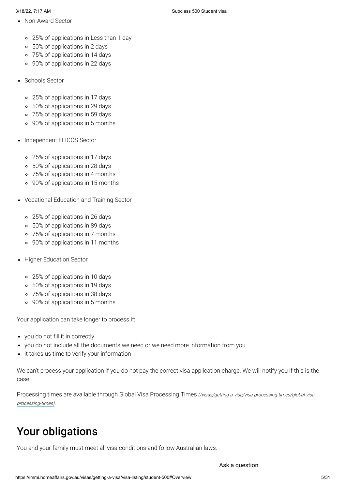- Non-Award Sector
	- 25% of applications in Less than 1 day
	- 50% of applications in 2 days
	- 75% of applications in 14 days
	- 90% of applications in 22 days
- Schools Sector
	- 25% of applications in 17 days
	- 50% of applications in 29 days
	- 75% of applications in 59 days
	- 90% of applications in 5 months
- Independent ELICOS Sector
	- 25% of applications in 17 days
	- 50% of applications in 28 days
	- 75% of applications in 4 months
	- 90% of applications in 15 months
- Vocational Education and Training Sector
	- 25% of applications in 26 days
	- 50% of applications in 89 days
	- 75% of applications in 7 months
	- 90% of applications in 11 months
- Higher Education Sector
	- 25% of applications in 10 days
	- 50% of applications in 19 days
	- 75% of applications in 38 days
	- 90% of applications in 5 months

Your application can take longer to process if:

- you do not fill it in correctly
- you do not include all the documents we need or we need more information from you
- it takes us time to verify your information

We can't process your application if you do not pay the correct visa application charge. We will notify you if this is the case.

Processing times are available through Global Visa Processing Times [\(/visas/getting-a-visa/visa-processing-times/global-visa](https://immi.homeaffairs.gov.au/visas/getting-a-visa/visa-processing-times/global-visa-processing-times)processing-times).

# <span id="page-4-0"></span>Your obligations

You and your family must meet all visa conditions and follow Australian laws.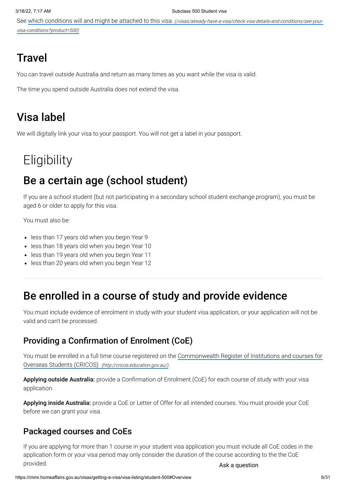See which conditions will and might be attached to this visa. [\(/visas/already-have-a-visa/check-visa-details-and-conditions/see-your](https://immi.homeaffairs.gov.au/visas/already-have-a-visa/check-visa-details-and-conditions/see-your-visa-conditions?product=500)visa-conditions?product=500)

# <span id="page-5-0"></span>**Travel**

You can travel outside Australia and return as many times as you want while the visa is valid.

The time you spend outside Australia does not extend the visa.

# <span id="page-5-1"></span>Visa label

We will digitally link your visa to your passport. You will not get a label in your passport.

# **Eligibility**

# Be a certain age (school student)

If you are a school student (but not participating in a secondary school student exchange program), you must be aged 6 or older to apply for this visa.

You must also be:

- less than 17 years old when you begin Year 9
- less than 18 years old when you begin Year 10
- less than 19 years old when you begin Year 11
- less than 20 years old when you begin Year 12

## Be enrolled in a course of study and provide evidence

You must include evidence of enrolment in study with your student visa application, or your application will not be valid and can't be processed.

### Providing a Confirmation of Enrolment (CoE)

You must be enrolled in a full time course registered on the Commonwealth Register of Institutions and courses for Overseas Students (CRICOS) [\(http://cricos.education.gov.au/\)](http://cricos.education.gov.au/).

Applying outside Australia: provide a Confirmation of Enrolment (CoE) for each course of study with your visa application.

Applying inside Australia: provide a CoE or Letter of Offer for all intended courses. You must provide your CoE before we can grant your visa.

### Packaged courses and CoEs

If you are applying for more than 1 course in your student visa application you must include all CoE codes in the application form or your visa period may only consider the duration of the course according to the the CoE provided. Ask a question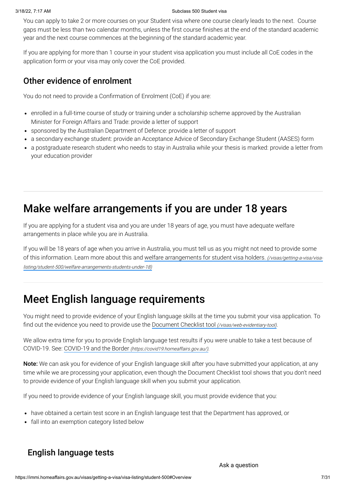You can apply to take 2 or more courses on your Student visa where one course clearly leads to the next. Course gaps must be less than two calendar months, unless the first course finishes at the end of the standard academic year and the next course commences at the beginning of the standard academic year.

If you are applying for more than 1 course in your student visa application you must include all CoE codes in the application form or your visa may only cover the CoE provided.

### Other evidence of enrolment

You do not need to provide a Confirmation of Enrolment (CoE) if you are:

- enrolled in a full-time course of study or training under a scholarship scheme approved by the Australian Minister for Foreign Affairs and Trade: provide a letter of support
- sponsored by the Australian Department of Defence: provide a letter of support
- a secondary exchange student: provide an Acceptance Advice of Secondary Exchange Student (AASES) form
- a postgraduate research student who needs to stay in Australia while your thesis is marked: provide a letter from your education provider

# Make welfare arrangements if you are under 18 years

If you are applying for a student visa and you are under 18 years of age, you must have adequate welfare arrangements in place while you are in Australia.

If you will be 18 years of age when you arrive in Australia, you must tell us as you might not need to provide some of this information. Learn more about this and welfare arrangements for student visa holders. (/visas/getting-a-visa/visa[listing/student-500/welfare-arrangements-students-under-18\)](https://immi.homeaffairs.gov.au/visas/getting-a-visa/visa-listing/student-500/welfare-arrangements-students-under-18)

## Meet English language requirements

You might need to provide evidence of your English language skills at the time you submit your visa application. To find out the evidence you need to provide use the Document Checklist tool [\(/visas/web-evidentiary-tool\)](https://immi.homeaffairs.gov.au/visas/web-evidentiary-tool).

We allow extra time for you to provide English language test results if you were unable to take a test because of COVID-19. See: COVID-19 and the Border [\(https://covid19.homeaffairs.gov.au/\)](https://covid19.homeaffairs.gov.au/).

Note: We can ask you for evidence of your English language skill after you have submitted your application, at any time while we are processing your application, even though the Document Checklist tool shows that you don't need to provide evidence of your English language skill when you submit your application.

If you need to provide evidence of your English language skill, you must provide evidence that you:

- have obtained a certain test score in an English language test that the Department has approved, or
- fall into an exemption category listed below

### English language tests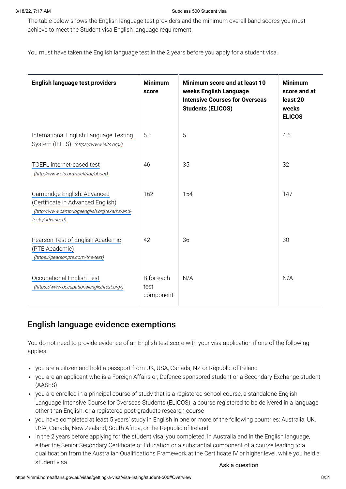The table below shows the English language test providers and the minimum overall band scores you must achieve to meet the Student visa English language requirement.

You must have taken the English language test in the 2 years before you apply for a student visa.

| English language test providers                                                                                                    | <b>Minimum</b><br>score         | Minimum score and at least 10<br>weeks English Language<br><b>Intensive Courses for Overseas</b><br><b>Students (ELICOS)</b> | <b>Minimum</b><br>score and at<br>least 20<br>weeks<br><b>ELICOS</b> |
|------------------------------------------------------------------------------------------------------------------------------------|---------------------------------|------------------------------------------------------------------------------------------------------------------------------|----------------------------------------------------------------------|
| International English Language Testing<br>System (IELTS) (https://www.ielts.org/)                                                  | 5.5                             | 5                                                                                                                            | 4.5                                                                  |
| TOEFL internet-based test<br>(http://www.ets.org/toefl/ibt/about)                                                                  | 46                              | 35                                                                                                                           | 32                                                                   |
| Cambridge English: Advanced<br>(Certificate in Advanced English)<br>(http://www.cambridgeenglish.org/exams-and-<br>tests/advanced) | 162                             | 154                                                                                                                          | 147                                                                  |
| Pearson Test of English Academic<br>(PTE Academic)<br>(https://pearsonpte.com/the-test)                                            | 42                              | 36                                                                                                                           | 30                                                                   |
| Occupational English Test<br>(https://www.occupationalenglishtest.org/)                                                            | B for each<br>test<br>component | N/A                                                                                                                          | N/A                                                                  |

### English language evidence exemptions

You do not need to provide evidence of an English test score with your visa application if one of the following applies:

- you are a citizen and hold a passport from UK, USA, Canada, NZ or Republic of Ireland
- you are an applicant who is a Foreign Affairs or, Defence sponsored student or a Secondary Exchange student (AASES)
- you are enrolled in a principal course of study that is a registered school course, a standalone English Language Intensive Course for Overseas Students (ELICOS), a course registered to be delivered in a language other than English, or a registered post-graduate research course
- you have completed at least 5 years' study in English in one or more of the following countries: Australia, UK, USA, Canada, New Zealand, South Africa, or the Republic of Ireland
- in the 2 years before applying for the student visa, you completed, in Australia and in the English language, either the Senior Secondary Certificate of Education or a substantial component of a course leading to a qualification from the Australian Qualifications Framework at the Certificate IV or higher level, while you held a student visa. Ask a question control of the student visa.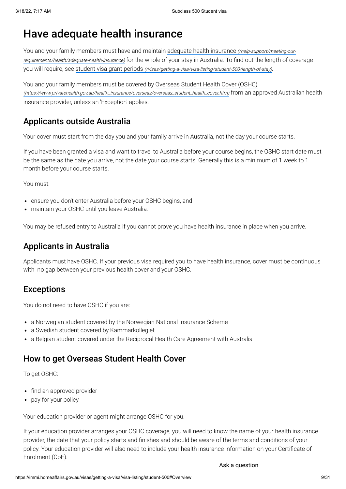# Have adequate health insurance

You and your family members must have and maintain adequate health insurance (/help-support/meeting-our[requirements/health/adequate-health-insurance\)](https://immi.homeaffairs.gov.au/help-support/meeting-our-requirements/health/adequate-health-insurance) for the whole of your stay in Australia. To find out the length of coverage you will require, see student visa grant periods [\(/visas/getting-a-visa/visa-listing/student-500/length-of-stay\)](https://immi.homeaffairs.gov.au/visas/getting-a-visa/visa-listing/student-500/length-of-stay).

You and your family members must be covered by Overseas Student Health Cover (OSHC) [\(https://www.privatehealth.gov.au/health\\_insurance/overseas/overseas\\_student\\_health\\_cover.htm\)](https://www.privatehealth.gov.au/health_insurance/overseas/overseas_student_health_cover.htm) from an approved Australian health insurance provider, unless an 'Exception' applies.

## Applicants outside Australia

Your cover must start from the day you and your family arrive in Australia, not the day your course starts.

If you have been granted a visa and want to travel to Australia before your course begins, the OSHC start date must be the same as the date you arrive, not the date your course starts. Generally this is a minimum of 1 week to 1 month before your course starts.

You must:

- ensure you don't enter Australia before your OSHC begins, and
- maintain your OSHC until you leave Australia.

You may be refused entry to Australia if you cannot prove you have health insurance in place when you arrive.

### Applicants in Australia

Applicants must have OSHC. If your previous visa required you to have health insurance, cover must be continuous with no gap between your previous health cover and your OSHC.

### **Exceptions**

You do not need to have OSHC if you are:

- a Norwegian student covered by the Norwegian National Insurance Scheme
- a Swedish student covered by Kammarkollegiet
- a Belgian student covered under the Reciprocal Health Care Agreement with Australia

### How to get Overseas Student Health Cover

To get OSHC:

- find an approved provider
- pay for your policy

Your education provider or agent might arrange OSHC for you.

If your education provider arranges your OSHC coverage, you will need to know the name of your health insurance provider, the date that your policy starts and finishes and should be aware of the terms and conditions of your policy. Your education provider will also need to include your health insurance information on your Certificate of Enrolment (CoE).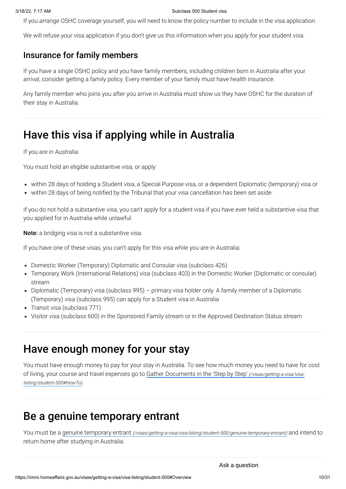If you arrange OSHC coverage yourself, you will need to know the policy number to include in the visa application.

We will refuse your visa application if you don't give us this information when you apply for your student visa.

### Insurance for family members

If you have a single OSHC policy and you have family members, including children born in Australia after your arrival, consider getting a family policy. Every member of your family must have health insurance.

Any family member who joins you after you arrive in Australia must show us they have OSHC for the duration of their stay in Australia.

# Have this visa if applying while in Australia

If you are in Australia:

You must hold an eligible substantive visa, or apply

- within 28 days of holding a Student visa, a Special Purpose visa, or a dependent Diplomatic (temporary) visa or
- within 28 days of being notified by the Tribunal that your visa cancellation has been set aside.

If you do not hold a substantive visa, you can't apply for a student visa if you have ever held a substantive visa that you applied for in Australia while unlawful.

Note: a bridging visa is not a substantive visa.

If you have one of these visas, you can't apply for this visa while you are in Australia:

- Domestic Worker (Temporary) Diplomatic and Consular visa (subclass 426)
- Temporary Work (International Relations) visa (subclass 403) in the Domestic Worker (Diplomatic or consular) stream
- Diplomatic (Temporary) visa (subclass 995) primary visa holder only. A family member of a Diplomatic (Temporary) visa (subclass 995) can apply for a Student visa in Australia
- Transit visa (subclass 771)
- Visitor visa (subclass 600) in the Sponsored Family stream or in the Approved Destination Status stream

## Have enough money for your stay

You must have enough money to pay for your stay in Australia. To see how much money you need to have for cost of living, your course and travel expenses go to Gather Documents in the 'Step by Step' (/visas/getting-a-visa/visalisting/student-500#HowTo).

## Be a genuine temporary entrant

You must be a genuine temporary entrant [\(/visas/getting-a-visa/visa-listing/student-500/genuine-temporary-entrant\)](https://immi.homeaffairs.gov.au/visas/getting-a-visa/visa-listing/student-500/genuine-temporary-entrant) and intend to return home after studying in Australia.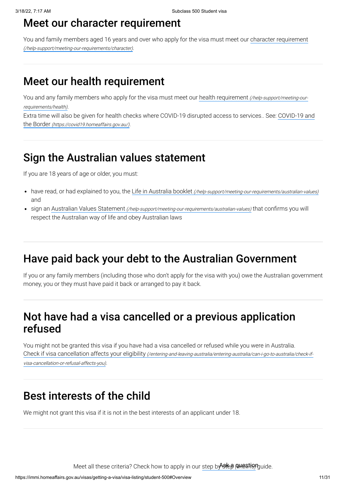### Meet our character requirement

You and family members aged 16 years and over who apply for the visa must meet our character requirement [\(/help-support/meeting-our-requirements/character\)](https://immi.homeaffairs.gov.au/help-support/meeting-our-requirements/character).

# Meet our health requirement

You and any family members who apply for the visa must meet our health requirement [\(/help-support/meeting-our](https://immi.homeaffairs.gov.au/help-support/meeting-our-requirements/health)requirements/health).

Extra time will also be given for health checks where COVID-19 disrupted access to services.. See: COVID-19 and the Border [\(https://covid19.homeaffairs.gov.au/\)](https://covid19.homeaffairs.gov.au/).

## Sign the Australian values statement

If you are 18 years of age or older, you must:

- have read, or had explained to you, the Life in Australia booklet [\(/help-support/meeting-our-requirements/australian-values\)](https://immi.homeaffairs.gov.au/help-support/meeting-our-requirements/australian-values) and
- sign an Australian Values Statement [\(/help-support/meeting-our-requirements/australian-values\)](https://immi.homeaffairs.gov.au/help-support/meeting-our-requirements/australian-values) that confirms you will respect the Australian way of life and obey Australian laws

# Have paid back your debt to the Australian Government

If you or any family members (including those who don't apply for the visa with you) owe the Australian government money, you or they must have paid it back or arranged to pay it back.

# Not have had a visa cancelled or a previous application refused

You might not be granted this visa if you have had a visa cancelled or refused while you were in Australia. Check if visa cancellation affects your eligibility [\(/entering-and-leaving-australia/entering-australia/can-i-go-to-australia/check-if](https://immi.homeaffairs.gov.au/entering-and-leaving-australia/entering-australia/can-i-go-to-australia/check-if-visa-cancellation-or-refusal-affects-you)visa-cancellation-or-refusal-affects-you).

# Best interests of the child

We might not grant this visa if it is not in the best interests of an applicant under 18.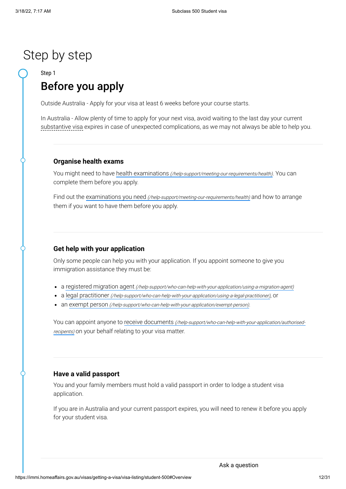# Step by step

Step 1

# Before you apply

Outside Australia - Apply for your visa at least 6 weeks before your course starts.

In Australia - Allow plenty of time to apply for your next visa, avoid waiting to the last day your current substantive visa expires in case of unexpected complications, as we may not always be able to help you.

#### **Organise health exams**

You might need to have health examinations [\(/help-support/meeting-our-requirements/health\)](https://immi.homeaffairs.gov.au/help-support/meeting-our-requirements/health). You can complete them before you apply.

Find out the examinations you need [\(/help-support/meeting-our-requirements/health\)](https://immi.homeaffairs.gov.au/help-support/meeting-our-requirements/health) and how to arrange them if you want to have them before you apply.

#### **Get help with your application**

Only some people can help you with your application. If you appoint someone to give you immigration assistance they must be:

- a registered migration agent [\(/help-support/who-can-help-with-your-application/using-a-migration-agent\)](https://immi.homeaffairs.gov.au/help-support/who-can-help-with-your-application/using-a-migration-agent)
- a legal practitioner [\(/help-support/who-can-help-with-your-application/using-a-legal-practitioner\)](https://immi.homeaffairs.gov.au/help-support/who-can-help-with-your-application/using-a-legal-practitioner), or
- an exempt person [\(/help-support/who-can-help-with-your-application/exempt-person\)](https://immi.homeaffairs.gov.au/help-support/who-can-help-with-your-application/exempt-person).

You can appoint anyone to receive documents [\(/help-support/who-can-help-with-your-application/authorised](https://immi.homeaffairs.gov.au/help-support/who-can-help-with-your-application/authorised-recipents)recipents) on your behalf relating to your visa matter.

#### **Have a valid passport**

You and your family members must hold a valid passport in order to lodge a student visa application.

If you are in Australia and your current passport expires, you will need to renew it before you apply for your student visa.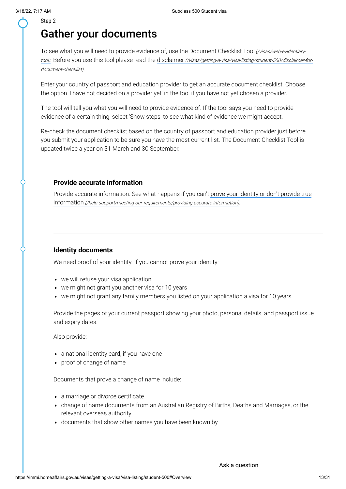# Gather your documents

To see what you will need to provide evidence of, use the Document Checklist Tool (/visas/web-evidentiary-tool). Before you use this tool please read the disclaimer [\(/visas/getting-a-visa/visa-listing/student-500/disclaimer](https://immi.homeaffairs.gov.au/visas/web-evidentiary-tool)[-for](https://immi.homeaffairs.gov.au/visas/getting-a-visa/visa-listing/student-500/disclaimer-for-document-checklist)document-checklist).

Enter your country of passport and education provider to get an accurate document checklist. Choose the option 'I have not decided on a provider yet' in the tool if you have not yet chosen a provider.

The tool will tell you what you will need to provide evidence of. If the tool says you need to provide evidence of a certain thing, select 'Show steps' to see what kind of evidence we might accept.

Re-check the document checklist based on the country of passport and education provider just before you submit your application to be sure you have the most current list. The Document Checklist Tool is updated twice a year on 31 March and 30 September.

#### **Provide accurate information**

Provide accurate information. See what happens if you can't prove your identity or don't provide true information [\(/help-support/meeting-our-requirements/providing-accurate-information\)](https://immi.homeaffairs.gov.au/help-support/meeting-our-requirements/providing-accurate-information).

#### **Identity documents**

We need proof of your identity. If you cannot prove your identity:

- we will refuse your visa application
- we might not grant you another visa for 10 years
- we might not grant any family members you listed on your application a visa for 10 years

Provide the pages of your current passport showing your photo, personal details, and passport issue and expiry dates.

Also provide:

- a national identity card, if you have one
- proof of change of name

Documents that prove a change of name include:

- a marriage or divorce certificate
- change of name documents from an Australian Registry of Births, Deaths and Marriages, or the relevant overseas authority
- documents that show other names you have been known by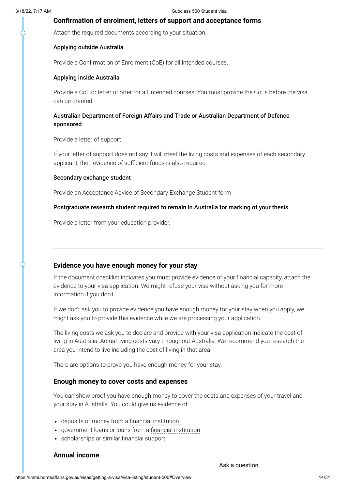#### **Confirmation of enrolment, letters of support and acceptance forms**

Attach the required documents according to your situation.

#### Applying outside Australia

Provide a Confirmation of Enrolment (CoE) for all intended courses.

#### Applying inside Australia

Provide a CoE or letter of offer for all intended courses. You must provide the CoEs before the visa can be granted.

#### Australian Department of Foreign Affairs and Trade or Australian Department of Defence sponsored

Provide a letter of support

If your letter of support does not say it will meet the living costs and expenses of each secondary applicant, then evidence of sufficient funds is also required.

#### Secondary exchange student

Provide an Acceptance Advice of Secondary Exchange Student form

#### Postgraduate research student required to remain in Australia for marking of your thesis

Provide a letter from your education provider.

#### **Evidence you have enough money for your stay**

If the document checklist indicates you must provide evidence of your financial capacity, attach the evidence to your visa application. We might refuse your visa without asking you for more information if you don't.

If we don't ask you to provide evidence you have enough money for your stay when you apply, we might ask you to provide this evidence while we are processing your application.

The living costs we ask you to declare and provide with your visa application indicate the cost of living in Australia. Actual living costs vary throughout Australia. We recommend you research the area you intend to live including the cost of living in that area

There are options to prove you have enough money for your stay.

#### **Enough money to cover costs and expenses**

You can show proof you have enough money to cover the costs and expenses of your travel and your stay in Australia. You could give us evidence of:

- deposits of money from a financial institution
- government loans or loans from a financial institution
- scholarships or similar financial support

#### **Annual income**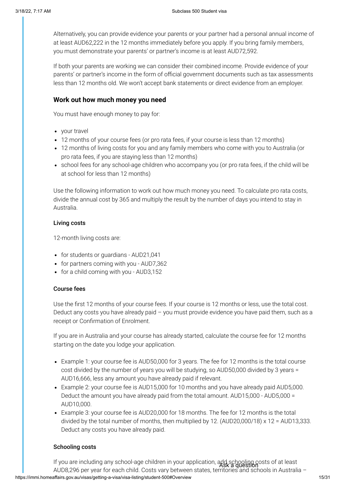Alternatively, you can provide evidence your parents or your partner had a personal annual income of at least AUD62,222 in the 12 months immediately before you apply. If you bring family members, you must demonstrate your parents' or partner's income is at least AUD72,592.

If both your parents are working we can consider their combined income. Provide evidence of your parents' or partner's income in the form of official government documents such as tax assessments less than 12 months old. We won't accept bank statements or direct evidence from an employer.

#### **Work out how much money you need**

You must have enough money to pay for:

- vour travel
- 12 months of your course fees (or pro rata fees, if your course is less than 12 months)
- 12 months of living costs for you and any family members who come with you to Australia (or pro rata fees, if you are staying less than 12 months)
- school fees for any school-age children who accompany you (or pro rata fees, if the child will be at school for less than 12 months)

Use the following information to work out how much money you need. To calculate pro rata costs, divide the annual cost by 365 and multiply the result by the number of days you intend to stay in Australia.

#### Living costs

12-month living costs are:

- for students or guardians AUD21,041
- for partners coming with you AUD7,362
- for a child coming with you AUD3,152

#### Course fees

Use the first 12 months of your course fees. If your course is 12 months or less, use the total cost. Deduct any costs you have already paid – you must provide evidence you have paid them, such as a receipt or Confirmation of Enrolment.

If you are in Australia and your course has already started, calculate the course fee for 12 months starting on the date you lodge your application.

- Example 1: your course fee is AUD50,000 for 3 years. The fee for 12 months is the total course cost divided by the number of years you will be studying, so AUD50,000 divided by 3 years = AUD16,666, less any amount you have already paid if relevant.
- Example 2: your course fee is AUD15,000 for 10 months and you have already paid AUD5,000. Deduct the amount you have already paid from the total amount. AUD15,000 - AUD5,000 = AUD10,000.
- Example 3: your course fee is AUD20,000 for 18 months. The fee for 12 months is the total divided by the total number of months, then multiplied by 12. (AUD20,000/18) x 12 = AUD13,333. Deduct any costs you have already paid.

#### Schooling costs

https://immi.homeaffairs.gov.au/visas/getting-a-visa/visa-listing/student-500#Overview 15/31 If you are including any school-age children in your application, add schooling costs of at least Ask a questionAUD8,296 per year for each child. Costs vary between states, territories and schools in Australia –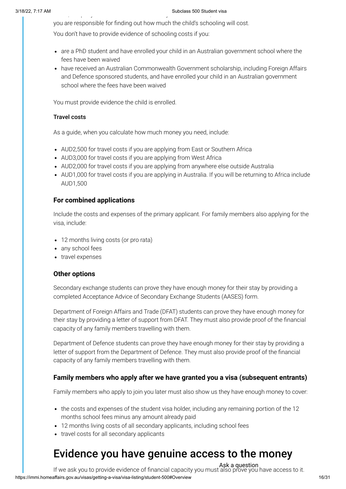#### 3/18/22, 7:17 AM Subclass 500 Student visa , p y y ,

you are responsible for finding out how much the child's schooling will cost.

You don't have to provide evidence of schooling costs if you:

- are a PhD student and have enrolled your child in an Australian government school where the fees have been waived
- have received an Australian Commonwealth Government scholarship, including Foreign Affairs and Defence sponsored students, and have enrolled your child in an Australian government school where the fees have been waived

You must provide evidence the child is enrolled.

#### Travel costs

As a guide, when you calculate how much money you need, include:

- AUD2,500 for travel costs if you are applying from East or Southern Africa
- AUD3,000 for travel costs if you are applying from West Africa
- AUD2,000 for travel costs if you are applying from anywhere else outside Australia
- AUD1,000 for travel costs if you are applying in Australia. If you will be returning to Africa include AUD1,500

#### **For combined applications**

Include the costs and expenses of the primary applicant. For family members also applying for the visa, include:

- 12 months living costs (or pro rata)
- any school fees
- travel expenses

#### **Other options**

Secondary exchange students can prove they have enough money for their stay by providing a completed Acceptance Advice of Secondary Exchange Students (AASES) form.

Department of Foreign Affairs and Trade (DFAT) students can prove they have enough money for their stay by providing a letter of support from DFAT. They must also provide proof of the financial capacity of any family members travelling with them.

Department of Defence students can prove they have enough money for their stay by providing a letter of support from the Department of Defence. They must also provide proof of the financial capacity of any family members travelling with them.

#### **Family members who apply after we have granted you a visa (subsequent entrants)**

Family members who apply to join you later must also show us they have enough money to cover:

- the costs and expenses of the student visa holder, including any remaining portion of the 12 months school fees minus any amount already paid
- 12 months living costs of all secondary applicants, including school fees
- travel costs for all secondary applicants

# Evidence you have genuine access to the money

https://immi.homeaffairs.gov.au/visas/getting-a-visa/visa-listing/student-500#Overview 16/31 If we ask you to provide evidence of financial capacity you must also prove you have access to it. Ask a question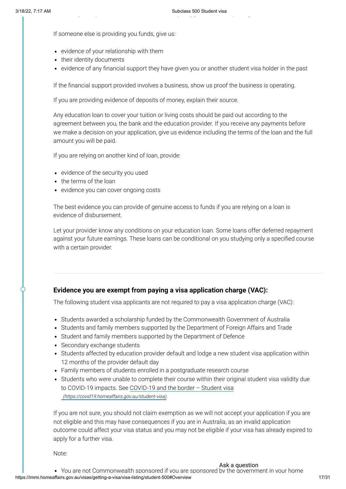If someone else is providing you funds, give us:

- evidence of your relationship with them
- their identity documents
- evidence of any financial support they have given you or another student visa holder in the past

If the financial support provided involves a business, show us proof the business is operating.

If you are providing evidence of deposits of money, explain their source.

Any education loan to cover your tuition or living costs should be paid out according to the agreement between you, the bank and the education provider. If you receive any payments before we make a decision on your application, give us evidence including the terms of the loan and the full amount you will be paid.

If you are relying on another kind of loan, provide:

- evidence of the security you used
- the terms of the loan
- evidence you can cover ongoing costs

The best evidence you can provide of genuine access to funds if you are relying on a loan is evidence of disbursement.

Let your provider know any conditions on your education loan. Some loans offer deferred repayment against your future earnings. These loans can be conditional on you studying only a specified course with a certain provider.

#### **Evidence you are exempt from paying a visa application charge (VAC):**

The following student visa applicants are not required to pay a visa application charge (VAC):

- Students awarded a scholarship funded by the Commonwealth Government of Australia
- Students and family members supported by the Department of Foreign Affairs and Trade
- Student and family members supported by the Department of Defence
- Secondary exchange students
- Students affected by education provider default and lodge a new student visa application within 12 months of the provider default day
- Family members of students enrolled in a postgraduate research course
- Students who were unable to complete their course within their original student visa validity due to COVID-19 impacts. See COVID-19 and the border – Student visa [\(https://covid19.homeaffairs.gov.au/student-visa\)](https://covid19.homeaffairs.gov.au/student-visa).

If you are not sure, you should not claim exemption as we will not accept your application if you are not eligible and this may have consequences if you are in Australia, as an invalid application outcome could affect your visa status and you may not be eligible if your visa has already expired to apply for a further visa.

Note: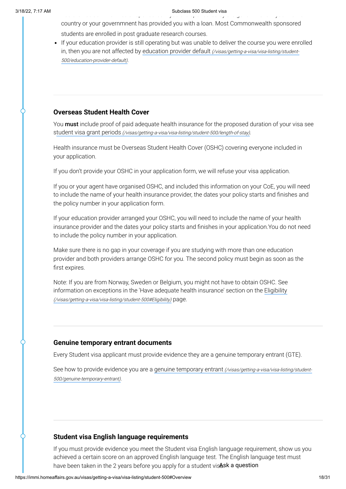ou a e ot Co o ea t spo so ed you a e spo so ed by t e go e e t you o e

country or your governmnent has provided you with a loan. Most Commonwealth sponsored students are enrolled in post graduate research courses.

If your education provider is still operating but was unable to deliver the course you were enrolled in, then you are not affected by education provider default [\(/visas/getting-a-visa/visa-listing/student-](https://immi.homeaffairs.gov.au/visas/getting-a-visa/visa-listing/student-500/education-provider-default)500/education-provider-default).

#### **Overseas Student Health Cover**

You **must** include proof of paid adequate health insurance for the proposed duration of your visa see student visa grant periods [\(/visas/getting-a-visa/visa-listing/student-500/length-of-stay\)](https://immi.homeaffairs.gov.au/visas/getting-a-visa/visa-listing/student-500/length-of-stay).

Health insurance must be Overseas Student Health Cover (OSHC) covering everyone included in your application.

If you don't provide your OSHC in your application form, we will refuse your visa application.

If you or your agent have organised OSHC, and included this information on your CoE, you will need to include the name of your health insurance provider, the dates your policy starts and finishes and the policy number in your application form.

If your education provider arranged your OSHC, you will need to include the name of your health insurance provider and the dates your policy starts and finishes in your application.You do not need to include the policy number in your application.

Make sure there is no gap in your coverage if you are studying with more than one education provider and both providers arrange OSHC for you. The second policy must begin as soon as the first expires.

Note: If you are from Norway, Sweden or Belgium, you might not have to obtain OSHC. See information on exceptions in the 'Have adequate health insurance' section on the Eligibility (/visas/getting-a-visa/visa-listing/student-500#Eligibility) page.

#### **Genuine temporary entrant documents**

Every Student visa applicant must provide evidence they are a genuine temporary entrant (GTE).

See how to provide evidence you are a genuine temporary entrant [\(/visas/getting-a-visa/visa-listing/student-](https://immi.homeaffairs.gov.au/visas/getting-a-visa/visa-listing/student-500/genuine-temporary-entrant)500/genuine-temporary-entrant).

#### **Student visa English language requirements**

If you must provide evidence you meet the Student visa English language requirement, show us you achieved a certain score on an approved English language test. The English language test must have been taken in the 2 years before you apply for a student visAsk a question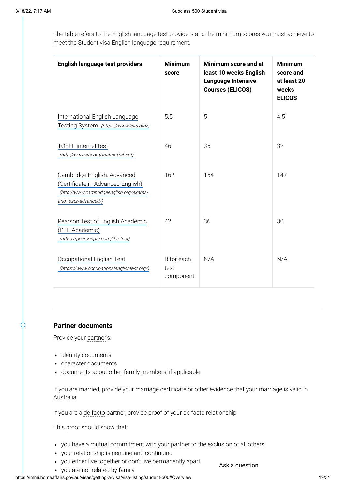The table refers to the English language test providers and the minimum scores you must achieve to meet the Student visa English language requirement.

| English language test providers                                                                                                     | <b>Minimum</b><br>score         | Minimum score and at<br>least 10 weeks English<br><b>Language Intensive</b><br><b>Courses (ELICOS)</b> | <b>Minimum</b><br>score and<br>at least 20<br>weeks<br><b>ELICOS</b> |
|-------------------------------------------------------------------------------------------------------------------------------------|---------------------------------|--------------------------------------------------------------------------------------------------------|----------------------------------------------------------------------|
| International English Language<br>Testing System (https://www.ielts.org/)                                                           | 5.5                             | 5                                                                                                      | 4.5                                                                  |
| <b>TOEFL</b> internet test<br>(http://www.ets.org/toefl/ibt/about)                                                                  | 46                              | 35                                                                                                     | 32                                                                   |
| Cambridge English: Advanced<br>(Certificate in Advanced English)<br>(http://www.cambridgeenglish.org/exams-<br>and-tests/advanced/) | 162                             | 154                                                                                                    | 147                                                                  |
| Pearson Test of English Academic<br>(PTE Academic)<br>(https://pearsonpte.com/the-test)                                             | 42                              | 36                                                                                                     | 30                                                                   |
| Occupational English Test<br>(https://www.occupationalenglishtest.org/)                                                             | B for each<br>test<br>component | N/A                                                                                                    | N/A                                                                  |

#### **Partner documents**

Provide your partner's:

- identity documents
- character documents
- documents about other family members, if applicable

If you are married, provide your marriage certificate or other evidence that your marriage is valid in Australia.

Ask a question

If you are a de facto partner, provide proof of your de facto relationship.

This proof should show that:

- you have a mutual commitment with your partner to the exclusion of all others
- your relationship is genuine and continuing
- you either live together or don't live permanently apart
- you are not related by family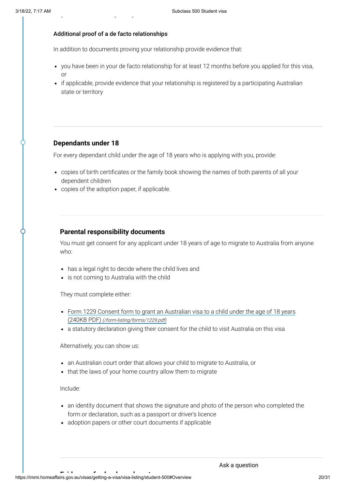#### Additional proof of a de facto relationships

y y y

In addition to documents proving your relationship provide evidence that:

- you have been in your de facto relationship for at least 12 months before you applied for this visa, or
- if applicable, provide evidence that your relationship is registered by a participating Australian state or territory

#### **Dependants under 18**

For every dependant child under the age of 18 years who is applying with you, provide:

- copies of birth certificates or the family book showing the names of both parents of all your dependent children
- copies of the adoption paper, if applicable.

#### **Parental responsibility documents**

You must get consent for any applicant under 18 years of age to migrate to Australia from anyone who:

- has a legal right to decide where the child lives and
- is not coming to Australia with the child

They must complete either:

- Form 1229 Consent form to grant an Australian visa to a child under the age of 18 years (240KB PDF) [\(/form-listing/forms/1229.pdf\)](https://immi.homeaffairs.gov.au/form-listing/forms/1229.pdf)
- a statutory declaration giving their consent for the child to visit Australia on this visa

Alternatively, you can show us:

- an Australian court order that allows your child to migrate to Australia, or
- that the laws of your home country allow them to migrate

Include:

- an identity document that shows the signature and photo of the person who completed the form or declaration, such as a passport or driver's licence
- adoption papers or other court documents if applicable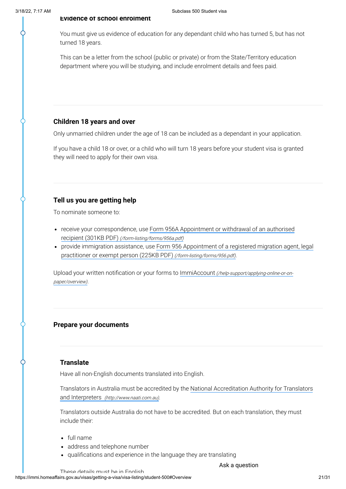You must give us evidence of education for any dependant child who has turned 5, but has not turned 18 years.

This can be a letter from the school (public or private) or from the State/Territory education department where you will be studying, and include enrolment details and fees paid.

### **Children 18 years and over**

Only unmarried children under the age of 18 can be included as a dependant in your application.

If you have a child 18 or over, or a child who will turn 18 years before your student visa is granted they will need to apply for their own visa.

### **Tell us you are getting help**

To nominate someone to:

- receive your correspondence, use Form 956A Appointment or withdrawal of an authorised recipient (301KB PDF) [\(/form-listing/forms/956a.pdf\)](https://immi.homeaffairs.gov.au/form-listing/forms/956a.pdf)
- provide [immigration assistance,](https://immi.homeaffairs.gov.au/form-listing/forms/956.pdf) use Form 956 Appointment of a registered migration agent, legal practitioner or exempt person (225KB PDF) (/form-listing/forms/956.pdf).

Upload your written notification or your forms to ImmiAccount [\(/help-support/applying-online-or-on](https://immi.homeaffairs.gov.au/help-support/applying-online-or-on-paper/overview)paper/overview).

#### **Prepare your documents**

#### **Translate**

Have all non-English documents translated into English.

Translators in Australia must be accredited by the National [Accreditation Authority](http://www.naati.com.au/) for Translators and Interpreters (http://www.naati.com.au).

Translators outside Australia do not have to be accredited. But on each translation, they must include their:

- full name
- address and telephone number
- qualifications and experience in the language they are translating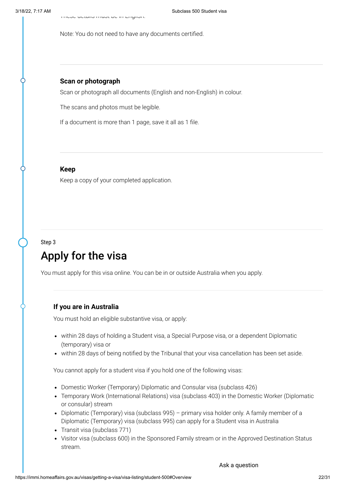Note: You do not need to have any documents certified.

#### **Scan or photograph**

Scan or photograph all documents (English and non-English) in colour.

The scans and photos must be legible.

If a document is more than 1 page, save it all as 1 file.

#### **Keep**

Keep a copy of your completed application.

#### Step 3

# Apply for the visa

You must apply for this visa online. You can be in or outside Australia when you apply.

#### **If you are in Australia**

You must hold an eligible substantive visa, or apply:

- within 28 days of holding a Student visa, a Special Purpose visa, or a dependent Diplomatic (temporary) visa or
- within 28 days of being notified by the Tribunal that your visa cancellation has been set aside.

You cannot apply for a student visa if you hold one of the following visas:

- Domestic Worker (Temporary) Diplomatic and Consular visa (subclass 426)
- Temporary Work (International Relations) visa (subclass 403) in the Domestic Worker (Diplomatic or consular) stream
- Diplomatic (Temporary) visa (subclass  $995$ ) primary visa holder only. A family member of a Diplomatic (Temporary) visa (subclass 995) can apply for a Student visa in Australia
- Transit visa (subclass 771)
- Visitor visa (subclass 600) in the Sponsored Family stream or in the Approved Destination Status stream.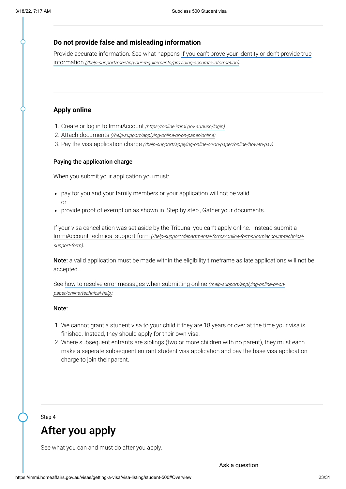#### **Do not provide false and misleading information**

Provide accurate information. See what happens if you can't prove your identity or don't provide true information [\(/help-support/meeting-our-requirements/providing-accurate-information\)](https://immi.homeaffairs.gov.au/help-support/meeting-our-requirements/providing-accurate-information).

#### **Apply online**

- 1. Create or log in to ImmiAccount [\(https://online.immi.gov.au/lusc/login\)](https://online.immi.gov.au/lusc/login)
- 2. Attach documents [\(/help-support/applying-online-or-on-paper/online\)](https://immi.homeaffairs.gov.au/help-support/applying-online-or-on-paper/online)
- 3. Pay the visa application charge [\(/help-support/applying-online-or-on-paper/online/how-to-pay\)](https://immi.homeaffairs.gov.au/help-support/applying-online-or-on-paper/online/how-to-pay)

#### Paying the application charge

When you submit your application you must:

- pay for you and your family members or your application will not be valid or
- provide proof of exemption as shown in 'Step by step', Gather your documents.

If your visa cancellation was set aside by the Tribunal you can't apply online. Instead submit a ImmiAccount technical support form [\(/help-support/departmental-forms/online-forms/immiaccount-technical](https://immi.homeaffairs.gov.au/help-support/departmental-forms/online-forms/immiaccount-technical-support-form)support-form).

Note: a valid application must be made within the eligibility timeframe as late applications will not be accepted.

See how to resolve error messages when submitting online [\(/help-support/applying-online-or-on](https://immi.homeaffairs.gov.au/help-support/applying-online-or-on-paper/online/technical-help)paper/online/technical-help).

#### Note:

- 1. We cannot grant a student visa to your child if they are 18 years or over at the time your visa is finished. Instead, they should apply for their own visa.
- 2. Where subsequent entrants are siblings (two or more children with no parent), they must each make a seperate subsequent entrant student visa application and pay the base visa application charge to join their parent.

### Step 4

# After you apply

See what you can and must do after you apply.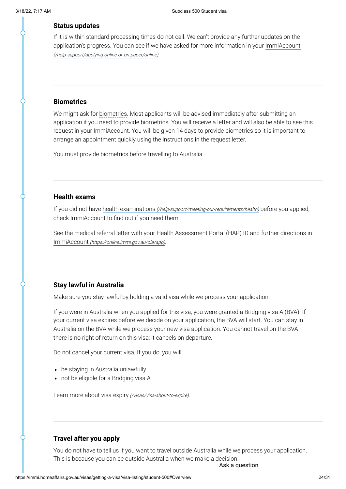#### **Status updates**

If it is within standard processing times do not call. We can't provide any further updates on the application's progress. You can see if we have asked for more information in your ImmiAccount [\(/help-support/applying-online-or-on-paper/online\)](https://immi.homeaffairs.gov.au/help-support/applying-online-or-on-paper/online).

#### **Biometrics**

We might ask for biometrics. Most applicants will be advised immediately after submitting an application if you need to provide biometrics. You will receive a letter and will also be able to see this request in your ImmiAccount. You will be given 14 days to provide biometrics so it is important to arrange an appointment quickly using the instructions in the request letter.

You must provide biometrics before travelling to Australia.

#### **Health exams**

If you did not have health examinations [\(/help-support/meeting-our-requirements/health\)](https://immi.homeaffairs.gov.au/help-support/meeting-our-requirements/health) before you applied, check ImmiAccount to find out if you need them.

See the medical referral letter with your Health Assessment Portal (HAP) ID and further directions in ImmiAccount [\(https://online.immi.gov.au/ola/app\)](https://online.immi.gov.au/ola/app).

#### **Stay lawful in Australia**

Make sure you stay lawful by holding a valid visa while we process your application.

If you were in Australia when you applied for this visa, you were granted a Bridging visa A (BVA). If your current visa expires before we decide on your application, the BVA will start. You can stay in Australia on the BVA while we process your new visa application. You cannot travel on the BVA there is no right of return on this visa; it cancels on departure.

Do not cancel your current visa. If you do, you will:

- be staying in Australia unlawfully
- not be eligible for a Bridging visa A

Learn more about visa expiry [\(/visas/visa-about-to-expire\)](https://immi.homeaffairs.gov.au/visas/visa-about-to-expire).

#### **Travel after you apply**

You do not have to tell us if you want to travel outside Australia while we process your application. This is because you can be outside Australia when we make a decision.

Ask a question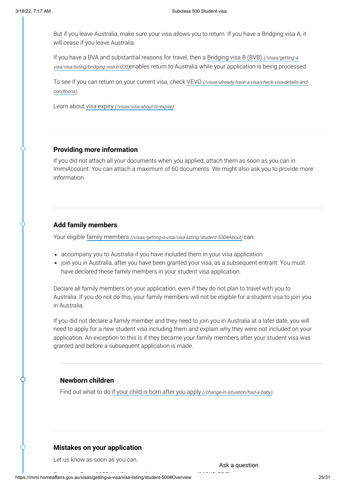But if you leave Australia, make sure your visa allows you to return. If you have a Bridging visa A, it will cease if you leave Australia.

If you have a BVA and substantial reasons for travel, then a Bridging visa B (BVB) (/visas/getting-a[visa/visa-listing/bridging-visa-b-020\)](https://immi.homeaffairs.gov.au/visas/getting-a-visa/visa-listing/bridging-visa-b-020)enables return to Australia while your application is being processed.

To see if you can return on your current visa, check VEVO [\(/visas/already-have-a-visa/check-visa-details-and](https://immi.homeaffairs.gov.au/visas/already-have-a-visa/check-visa-details-and-conditions)conditions).

Learn about visa expiry [\(/visas/visa-about-to-expire\)](https://immi.homeaffairs.gov.au/visas/visa-about-to-expire).

#### **Providing more information**

If you did not attach all your documents when you applied, attach them as soon as you can in ImmiAccount. You can attach a maximum of 60 documents. We might also ask you to provide more information.

#### **Add family members**

Your eligible family members (/visas/getting-a-visa/visa-listing/student-500#About) can:

- accompany you to Australia if you have included them in your visa application
- join you in Australia, after you have been granted your visa, as a subsequent entrant. You must have declared these family members in your student visa application.

Declare all family members on your application, even if they do not plan to travel with you to Australia. If you do not do this, your family members will not be eligible for a student visa to join you in Australia.

If you did not declare a family member and they need to join you in Australia at a later date, you will need to apply for a new student visa including them and explain why they were not included on your application. An exception to this is if they became your family members after your student visa was granted and before a subsequent application is made.

#### **Newborn children**

Find out what to do if your child is born after you apply [\(/change-in-situation/had-a-baby\)](https://immi.homeaffairs.gov.au/change-in-situation/had-a-baby).

#### **Mistakes on your application**

Let us know as soon as you can.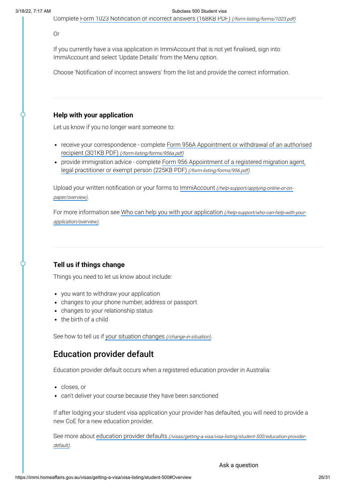Complete [Form 1023 Notification of](https://immi.homeaffairs.gov.au/form-listing/forms/1023.pdf) incorrect answers (168KB PDF) (/form-listing/forms/1023.pdf)

Or

If you currently have a visa application in ImmiAccount that is not yet finalised, sign into ImmiAccount and select 'Update Details' from the Menu option.

Choose 'Notification of incorrect answers' from the list and provide the correct information.

#### **Help with your application**

Let us know if you no longer want someone to:

- receive your correspondence complete Form 956A Appointment or withdrawal of an authorised recipient (301KB PDF) [\(/form-listing/forms/956a.pdf\)](https://immi.homeaffairs.gov.au/form-listing/forms/956a.pdf)
- provide immigration advice complete [Form 956 Appointment](https://immi.homeaffairs.gov.au/form-listing/forms/956.pdf) of a registered migration agent, legal practitioner or exempt person (225KB PDF) (/form-listing/forms/956.pdf).

Upload your written notification or your forms to ImmiAccount [\(/help-support/applying-online-or-on](https://immi.homeaffairs.gov.au/help-support/applying-online-or-on-paper/overview)paper/overview).

For more information see Who can help you with your application [\(/help-support/who-can-help-with-your](https://immi.homeaffairs.gov.au/help-support/who-can-help-with-your-application/overview)application/overview).

#### **Tell us if things change**

Things you need to let us know about include:

- you want to withdraw your application
- changes to your phone number, address or passport
- changes to your relationship status
- the birth of a child

See how to tell us if your [situation changes](https://immi.homeaffairs.gov.au/change-in-situation) (/change-in-situation).

### Education provider default

Education provider default occurs when a registered education provider in Australia:

- closes, or
- can't deliver your course because they have been sanctioned

If after lodging your student visa application your provider has defaulted, you will need to provide a new CoE for a new education provider.

See more about education provider defaults [\(/visas/getting-a-visa/visa-listing/student-500/education-provider](https://immi.homeaffairs.gov.au/visas/getting-a-visa/visa-listing/student-500/education-provider-default)default).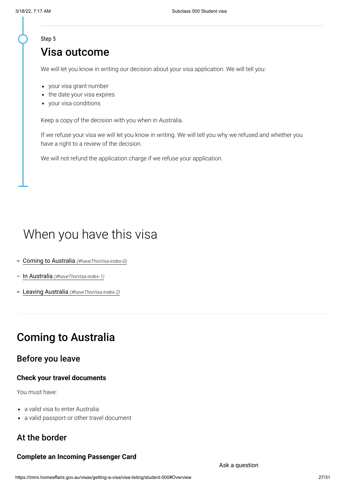#### Step 5

### Visa outcome

We will let you know in writing our decision about your visa application. We will tell you:

- your visa grant number
- the date your visa expires
- your visa conditions

Keep a copy of the decision with you when in Australia.

If we refuse your visa we will let you know in writing. We will tell you why we refused and whether you have a right to a review of the decision.

We will not refund the application charge if we refuse your application.

# When you have this visa

- Coming to Australia [\(#haveThisVisa-index-0\)](#page-26-0)
- In Australia [\(#haveThisVisa-index-1\)](#page-27-0)
- Leaving Australia [\(#haveThisVisa-index-2\)](#page-29-0)

### <span id="page-26-0"></span>Coming to Australia

### Before you leave

#### **Check your travel documents**

You must have:

- a valid visa to enter Australia
- a valid passport or other travel document

### At the border

#### **Complete an Incoming Passenger Card**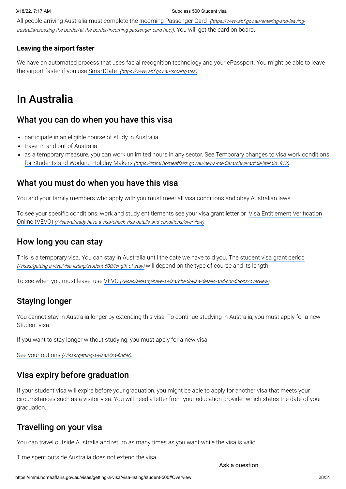All people arriving Australia must complete the Incoming Passenger Card (https://www.abf.gov.au/entering-and-leaving[australia/crossing-the-border/at-the-border/incoming-passenger-card-\(ipc\)\)](https://www.abf.gov.au/entering-and-leaving-australia/crossing-the-border/at-the-border/incoming-passenger-card-(ipc)). You will get the card on board.

#### **Leaving the airport faster**

We have an automated process that uses facial recognition technology and your ePassport. You might be able to leave the airport faster if you use SmartGate [\(https://www.abf.gov.au/smartgates\)](https://www.abf.gov.au/smartgates).

# <span id="page-27-0"></span>In Australia

### What you can do when you have this visa

- participate in an eligible course of study in Australia
- travel in and out of Australia
- as a temporary measure, you can work unlimited hours in any sector. See Temporary changes to visa work conditions for Students and Working Holiday Makers [\(https://immi.homeaffairs.gov.au/news-media/archive/article?itemId=813\)](https://immi.homeaffairs.gov.au/news-media/archive/article?itemId=813).

### What you must do when you have this visa

You and your family members who apply with you must meet all visa conditions and obey Australian laws.

To see your specific conditions, work and study entitlements see your visa grant letter or Visa Entitlement Verification Online (VEVO) [\(/visas/already-have-a-visa/check-visa-details-and-conditions/overview\)](https://immi.homeaffairs.gov.au/visas/already-have-a-visa/check-visa-details-and-conditions/overview)

### How long you can stay

This is a temporary visa. You can stay in Australia until the date we have told you. The student visa grant period [\(/visas/getting-a-visa/visa-listing/student-500/length-of-stay\)](https://immi.homeaffairs.gov.au/visas/getting-a-visa/visa-listing/student-500/length-of-stay) will depend on the type of course and its length.

To see when you must leave, use VEVO [\(/visas/already-have-a-visa/check-visa-details-and-conditions/overview\)](https://immi.homeaffairs.gov.au/visas/already-have-a-visa/check-visa-details-and-conditions/overview).

### Staying longer

You cannot stay in Australia longer by extending this visa. To continue studying in Australia, you must apply for a new Student visa.

If you want to stay longer without studying, you must apply for a new visa.

See your options [\(/visas/getting-a-visa/visa-finder\)](https://immi.homeaffairs.gov.au/visas/getting-a-visa/visa-finder).

### Visa expiry before graduation

If your student visa will expire before your graduation, you might be able to apply for another visa that meets your circumstances such as a visitor visa. You will need a letter from your education provider which states the date of your graduation.

### Travelling on your visa

You can travel outside Australia and return as many times as you want while the visa is valid.

Time spent outside Australia does not extend the visa.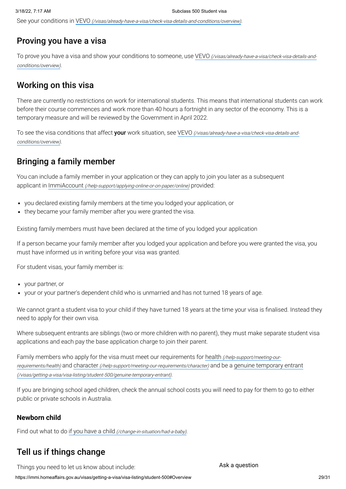See your conditions in VEVO [\(/visas/already-have-a-visa/check-visa-details-and-conditions/overview\)](https://immi.homeaffairs.gov.au/visas/already-have-a-visa/check-visa-details-and-conditions/overview).

### Proving you have a visa

To prove you have a visa and show your conditions to someone, use VEVO [\(/visas/already-have-a-visa/check-visa-details-and](https://immi.homeaffairs.gov.au/visas/already-have-a-visa/check-visa-details-and-conditions/overview)conditions/overview).

### Working on this visa

There are currently no restrictions on work for international students. This means that international students can work before their course commences and work more than 40 hours a fortnight in any sector of the economy. This is a temporary measure and will be reviewed by the Government in April 2022.

To see the visa conditions that affect your work situation, see VEVO [\(/visas/already-have-a-visa/check-visa-details-and](https://immi.homeaffairs.gov.au/visas/already-have-a-visa/check-visa-details-and-conditions/overview)conditions/overview).

### Bringing a family member

You can include a family member in your application or they can apply to join you later as a subsequent applicant in ImmiAccount [\(/help-support/applying-online-or-on-paper/online\)](https://immi.homeaffairs.gov.au/help-support/applying-online-or-on-paper/online) provided:

- you declared existing family members at the time you lodged your application, or
- they became your family member after you were granted the visa.

Existing family members must have been declared at the time of you lodged your application

If a person became your family member after you lodged your application and before you were granted the visa, you must have informed us in writing before your visa was granted.

For student visas, your family member is:

- your partner, or
- your or your partner's dependent child who is unmarried and has not turned 18 years of age.

We cannot grant a student visa to your child if they have turned 18 years at the time your visa is finalised. Instead they need to apply for their own visa.

Where subsequent entrants are siblings (two or more children with no parent), they must make separate student visa applications and each pay the base application charge to join their parent.

Family members who apply for the visa must meet our requirements for health (/help-support/meeting-our-requirements/health) and character [\(/help-support/meeting-our-requirements/character\)](https://immi.homeaffairs.gov.au/help-support/meeting-our-requirements/health) and be a genuine temporary entrant [\(/visas/getting-a-visa/visa-listing/student-500/genuine-temporary-entrant\)](https://immi.homeaffairs.gov.au/visas/getting-a-visa/visa-listing/student-500/genuine-temporary-entrant).

If you are bringing school aged children, check the annual school costs you will need to pay for them to go to either public or private schools in Australia.

#### **Newborn child**

Find out what to do if you have a child [\(/change-in-situation/had-a-baby\)](https://immi.homeaffairs.gov.au/change-in-situation/had-a-baby).

### Tell us if things change

Things you need to let us know about include: Ask a question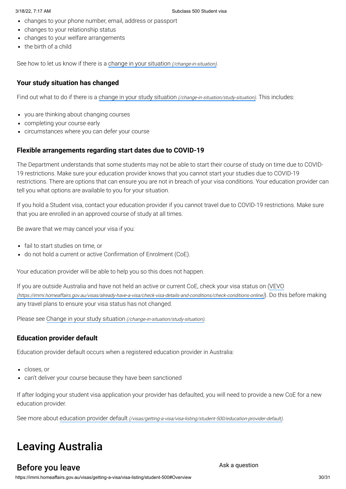- changes to your phone number, email, address or passport
- changes to your relationship status
- changes to your welfare arrangements
- the birth of a child

See how to let us know if there is a change in your situation [\(/change-in-situation\)](https://immi.homeaffairs.gov.au/change-in-situation).

### **Your study situation has changed**

Find out what to do if there is a change in your study situation [\(/change-in-situation/study-situation\)](https://immi.homeaffairs.gov.au/change-in-situation/study-situation). This includes:

- you are thinking about changing courses
- completing your course early
- circumstances where you can defer your course

### **Flexible arrangements regarding start dates due to COVID-19**

The Department understands that some students may not be able to start their course of study on time due to COVID-19 restrictions. Make sure your education provider knows that you cannot start your studies due to COVID-19 restrictions. There are options that can ensure you are not in breach of your visa conditions. Your education provider can tell you what options are available to you for your situation.

If you hold a Student visa, contact your education provider if you cannot travel due to COVID-19 restrictions. Make sure that you are enrolled in an approved course of study at all times.

Be aware that we may cancel your visa if you:

- fail to start studies on time, or
- do not hold a current or active Confirmation of Enrolment (CoE).

Your education provider will be able to help you so this does not happen.

If you are outside Australia and have not held an active or current CoE, check your visa status on (VEVO [\(https://immi.homeaffairs.gov.au/visas/already-have-a-visa/check-visa-details-and-conditions/check-conditions-online\)](https://immi.homeaffairs.gov.au/visas/already-have-a-visa/check-visa-details-and-conditions/check-conditions-online)). Do this before making any travel plans to ensure your visa status has not changed.

Please see Change in your study situation [\(/change-in-situation/study-situation\)](https://immi.homeaffairs.gov.au/change-in-situation/study-situation).

### **Education provider default**

Education provider default occurs when a registered education provider in Australia:

- closes, or
- can't deliver your course because they have been sanctioned

If after lodging your student visa application your provider has defaulted, you will need to provide a new CoE for a new education provider.

See more about education provider default [\(/visas/getting-a-visa/visa-listing/student-500/education-provider-default\)](https://immi.homeaffairs.gov.au/visas/getting-a-visa/visa-listing/student-500/education-provider-default).

# <span id="page-29-0"></span>Leaving Australia

### Before you leave